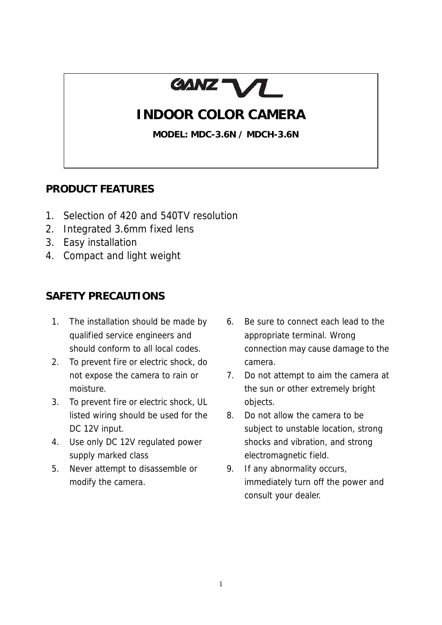

# **INDOOR COLOR CAMERA**

**MODEL: MDC-3.6N / MDCH-3.6N** 

### **PRODUCT FEATURES**

- 1. Selection of 420 and 540TV resolution
- 2. Integrated 3.6mm fixed lens
- 3. Easy installation
- 4. Compact and light weight

### **SAFETY PRECAUTIONS**

- 1. The installation should be made by qualified service engineers and should conform to all local codes.
- 2. To prevent fire or electric shock, do not expose the camera to rain or moisture.
- 3. To prevent fire or electric shock, UL listed wiring should be used for the DC 12V input.
- 4. Use only DC 12V regulated power supply marked class
- 5. Never attempt to disassemble or modify the camera.
- 6. Be sure to connect each lead to the appropriate terminal. Wrong connection may cause damage to the camera.
- 7. Do not attempt to aim the camera at the sun or other extremely bright objects.
- 8. Do not allow the camera to be subject to unstable location, strong shocks and vibration, and strong electromagnetic field.
- 9. If any abnormality occurs, immediately turn off the power and consult your dealer.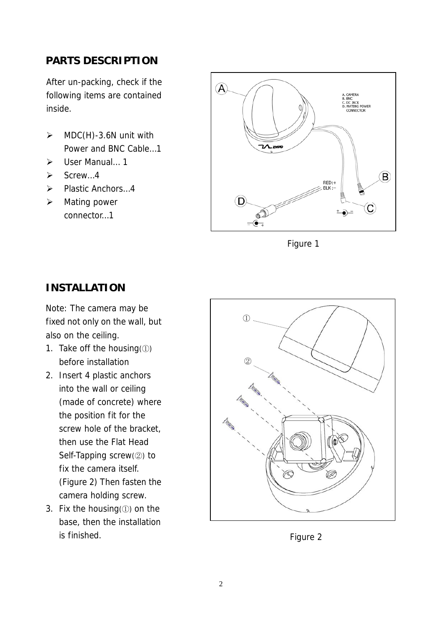## **PARTS DESCRIPTION**

After un-packing, check if the following items are contained inside.

- $\triangleright$  MDC(H)-3.6N unit with Power and BNC Cable…1
- ¾ User Manual… 1
- $\triangleright$  Screw…4
- ¾ Plastic Anchors…4
- $\triangleright$  Mating power connector…1



Figure 1

### **INSTALLATION**

Note: The camera may be fixed not only on the wall, but also on the ceiling.

- 1. Take off the housing(①) before installation
- 2. Insert 4 plastic anchors into the wall or ceiling (made of concrete) where the position fit for the screw hole of the bracket, then use the Flat Head Self-Tapping screw(②) to fix the camera itself. (Figure 2) Then fasten the camera holding screw.
- 3. Fix the housing(①) on the base, then the installation is finished. The set of the set of the set of the set of the set of the set of the set of the set of the set of the set of the set of the set of the set of the set of the set of the set of the set of the set of the set of